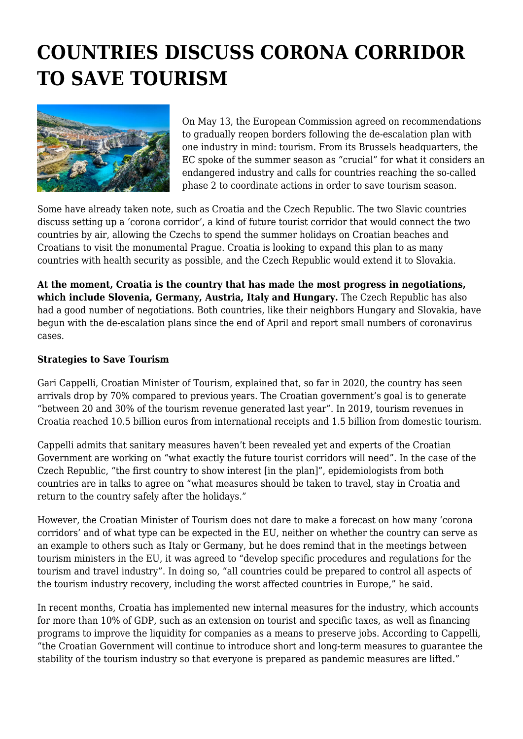## **COUNTRIES DISCUSS CORONA CORRIDOR TO SAVE TOURISM**



On May 13, the European Commission agreed on recommendations to gradually reopen borders following the de-escalation plan with one industry in mind: tourism. From its Brussels headquarters, the EC spoke of the summer season as "crucial" for what it considers an endangered industry and calls for countries reaching the so-called phase 2 to coordinate actions in order to save tourism season.

Some have already taken note, such as Croatia and the Czech Republic. The two Slavic countries discuss setting up a 'corona corridor', a kind of future tourist corridor that would connect the two countries by air, allowing the Czechs to spend the summer holidays on Croatian beaches and Croatians to visit the monumental Prague. Croatia is looking to expand this plan to as many countries with health security as possible, and the Czech Republic would extend it to Slovakia.

**At the moment, Croatia is the country that has made the most progress in negotiations, which include Slovenia, Germany, Austria, Italy and Hungary.** The Czech Republic has also had a good number of negotiations. Both countries, like their neighbors Hungary and Slovakia, have begun with the de-escalation plans since the end of April and report small numbers of coronavirus cases.

## **Strategies to Save Tourism**

Gari Cappelli, Croatian Minister of Tourism, explained that, so far in 2020, the country has seen arrivals drop by 70% compared to previous years. The Croatian government's goal is to generate "between 20 and 30% of the tourism revenue generated last year". In 2019, tourism revenues in Croatia reached 10.5 billion euros from international receipts and 1.5 billion from domestic tourism.

Cappelli admits that sanitary measures haven't been revealed yet and experts of the Croatian Government are working on "what exactly the future tourist corridors will need". In the case of the Czech Republic, "the first country to show interest [in the plan]", epidemiologists from both countries are in talks to agree on "what measures should be taken to travel, stay in Croatia and return to the country safely after the holidays."

However, the Croatian Minister of Tourism does not dare to make a forecast on how many 'corona corridors' and of what type can be expected in the EU, neither on whether the country can serve as an example to others such as Italy or Germany, but he does remind that in the meetings between tourism ministers in the EU, it was agreed to "develop specific procedures and regulations for the tourism and travel industry". In doing so, "all countries could be prepared to control all aspects of the tourism industry recovery, including the worst affected countries in Europe," he said.

In recent months, Croatia has implemented new internal measures for the industry, which accounts for more than 10% of GDP, such as an extension on tourist and specific taxes, as well as financing programs to improve the liquidity for companies as a means to preserve jobs. According to Cappelli, "the Croatian Government will continue to introduce short and long-term measures to guarantee the stability of the tourism industry so that everyone is prepared as pandemic measures are lifted."